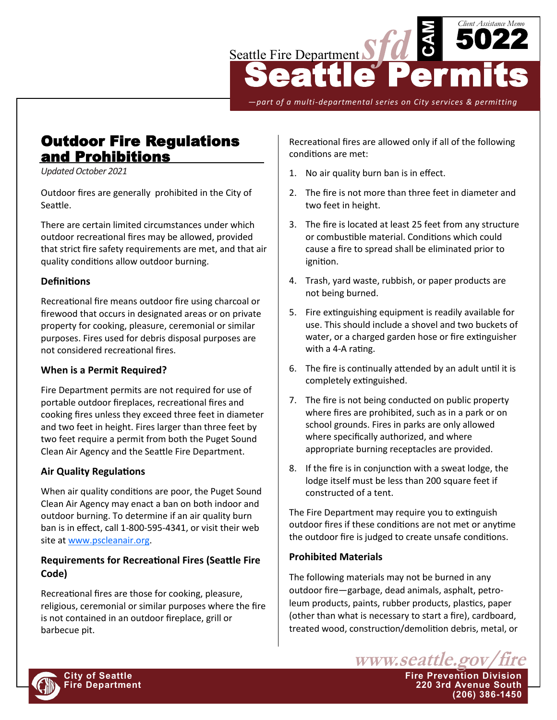

*—part of a multi-departmental series on City services & permitting*

# Outdoor Fire Regulations and Prohibitions

*Updated October 2021*

Outdoor fires are generally prohibited in the City of Seattle.

There are certain limited circumstances under which outdoor recreational fires may be allowed, provided that strict fire safety requirements are met, and that air quality conditions allow outdoor burning.

## **Definitions**

Recreational fire means outdoor fire using charcoal or firewood that occurs in designated areas or on private property for cooking, pleasure, ceremonial or similar purposes. Fires used for debris disposal purposes are not considered recreational fires.

## **When is a Permit Required?**

Fire Department permits are not required for use of portable outdoor fireplaces, recreational fires and cooking fires unless they exceed three feet in diameter and two feet in height. Fires larger than three feet by two feet require a permit from both the Puget Sound Clean Air Agency and the Seattle Fire Department.

## **Air Quality Regulations**

When air quality conditions are poor, the Puget Sound Clean Air Agency may enact a ban on both indoor and outdoor burning. To determine if an air quality burn ban is in effect, call 1-800-595-4341, or visit their web site at [www.pscleanair.org.](http://www.pscleanair.org)

## **Requirements for Recreational Fires (Seattle Fire Code)**

Recreational fires are those for cooking, pleasure, religious, ceremonial or similar purposes where the fire is not contained in an outdoor fireplace, grill or barbecue pit.

Recreational fires are allowed only if all of the following conditions are met:

- 1. No air quality burn ban is in effect.
- 2. The fire is not more than three feet in diameter and two feet in height.
- 3. The fire is located at least 25 feet from any structure or combustible material. Conditions which could cause a fire to spread shall be eliminated prior to ignition.
- 4. Trash, yard waste, rubbish, or paper products are not being burned.
- 5. Fire extinguishing equipment is readily available for use. This should include a shovel and two buckets of water, or a charged garden hose or fire extinguisher with a 4-A rating.
- 6. The fire is continually attended by an adult until it is completely extinguished.
- 7. The fire is not being conducted on public property where fires are prohibited, such as in a park or on school grounds. Fires in parks are only allowed where specifically authorized, and where appropriate burning receptacles are provided.
- 8. If the fire is in conjunction with a sweat lodge, the lodge itself must be less than 200 square feet if constructed of a tent.

The Fire Department may require you to extinguish outdoor fires if these conditions are not met or anytime the outdoor fire is judged to create unsafe conditions.

## **Prohibited Materials**

The following materials may not be burned in any outdoor fire—garbage, dead animals, asphalt, petroleum products, paints, rubber products, plastics, paper (other than what is necessary to start a fire), cardboard, treated wood, construction/demolition debris, metal, or